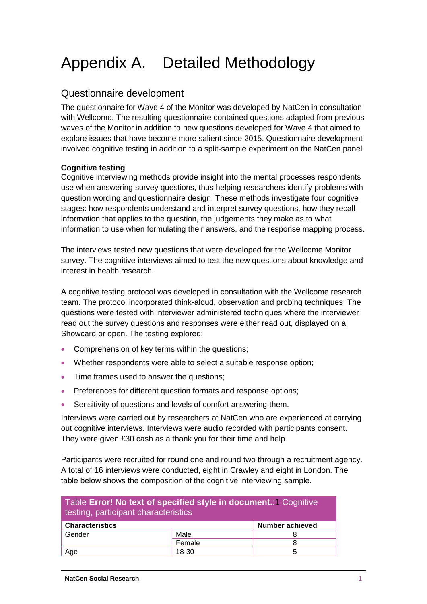# Appendix A. Detailed Methodology

## Questionnaire development

The questionnaire for Wave 4 of the Monitor was developed by NatCen in consultation with Wellcome. The resulting questionnaire contained questions adapted from previous waves of the Monitor in addition to new questions developed for Wave 4 that aimed to explore issues that have become more salient since 2015. Questionnaire development involved cognitive testing in addition to a split-sample experiment on the NatCen panel.

#### **Cognitive testing**

Cognitive interviewing methods provide insight into the mental processes respondents use when answering survey questions, thus helping researchers identify problems with question wording and questionnaire design. These methods investigate four cognitive stages: how respondents understand and interpret survey questions, how they recall information that applies to the question, the judgements they make as to what information to use when formulating their answers, and the response mapping process.

The interviews tested new questions that were developed for the Wellcome Monitor survey. The cognitive interviews aimed to test the new questions about knowledge and interest in health research.

A cognitive testing protocol was developed in consultation with the Wellcome research team. The protocol incorporated think-aloud, observation and probing techniques. The questions were tested with interviewer administered techniques where the interviewer read out the survey questions and responses were either read out, displayed on a Showcard or open. The testing explored:

- Comprehension of key terms within the questions;
- Whether respondents were able to select a suitable response option;
- Time frames used to answer the questions;
- Preferences for different question formats and response options;
- Sensitivity of questions and levels of comfort answering them.

Interviews were carried out by researchers at NatCen who are experienced at carrying out cognitive interviews. Interviews were audio recorded with participants consent. They were given £30 cash as a thank you for their time and help.

Participants were recruited for round one and round two through a recruitment agency. A total of 16 interviews were conducted, eight in Crawley and eight in London. The table below shows the composition of the cognitive interviewing sample.

| Table Error! No text of specified style in document.: Cognitive<br>testing, participant characteristics |        |                        |
|---------------------------------------------------------------------------------------------------------|--------|------------------------|
| <b>Characteristics</b>                                                                                  |        | <b>Number achieved</b> |
| Gender                                                                                                  | Male   |                        |
|                                                                                                         | Female |                        |
| Age                                                                                                     | 18-30  | 5                      |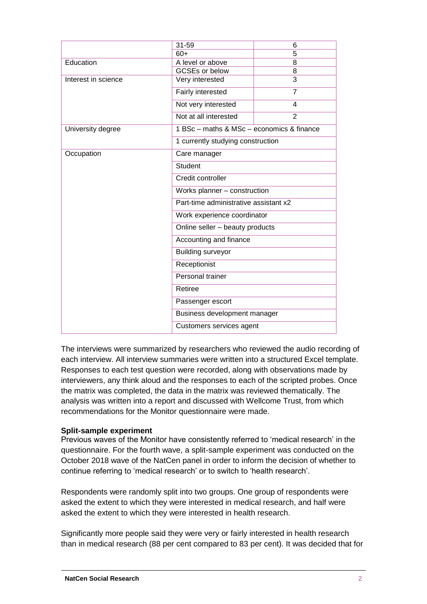|                     | 31-59                                     | 6              |  |
|---------------------|-------------------------------------------|----------------|--|
|                     | $60+$                                     | 5              |  |
| Education           | A level or above                          | 8              |  |
|                     | <b>GCSEs or below</b>                     | 8              |  |
| Interest in science | Very interested                           | $\overline{3}$ |  |
|                     | Fairly interested                         | 7              |  |
|                     | Not very interested                       | 4              |  |
|                     | Not at all interested<br>$\overline{2}$   |                |  |
| University degree   | 1 BSc - maths & MSc - economics & finance |                |  |
|                     | 1 currently studying construction         |                |  |
| Occupation          | Care manager                              |                |  |
|                     | <b>Student</b>                            |                |  |
|                     | Credit controller                         |                |  |
|                     | Works planner - construction              |                |  |
|                     | Part-time administrative assistant x2     |                |  |
|                     | Work experience coordinator               |                |  |
|                     | Online seller - beauty products           |                |  |
|                     | Accounting and finance                    |                |  |
|                     | <b>Building surveyor</b>                  |                |  |
|                     | Receptionist                              |                |  |
|                     | Personal trainer                          |                |  |
|                     | Retiree                                   |                |  |
|                     | Passenger escort                          |                |  |
|                     | Business development manager              |                |  |
|                     | Customers services agent                  |                |  |

The interviews were summarized by researchers who reviewed the audio recording of each interview. All interview summaries were written into a structured Excel template. Responses to each test question were recorded, along with observations made by interviewers, any think aloud and the responses to each of the scripted probes. Once the matrix was completed, the data in the matrix was reviewed thematically. The analysis was written into a report and discussed with Wellcome Trust, from which recommendations for the Monitor questionnaire were made.

#### **Split-sample experiment**

Previous waves of the Monitor have consistently referred to 'medical research' in the questionnaire. For the fourth wave, a split-sample experiment was conducted on the October 2018 wave of the NatCen panel in order to inform the decision of whether to continue referring to 'medical research' or to switch to 'health research'.

Respondents were randomly split into two groups. One group of respondents were asked the extent to which they were interested in medical research, and half were asked the extent to which they were interested in health research.

Significantly more people said they were very or fairly interested in health research than in medical research (88 per cent compared to 83 per cent). It was decided that for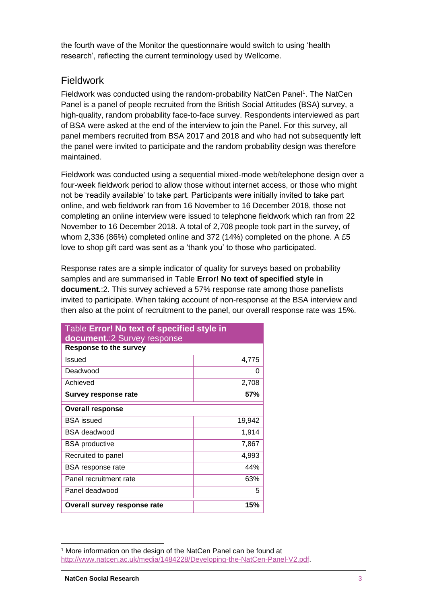the fourth wave of the Monitor the questionnaire would switch to using 'health research', reflecting the current terminology used by Wellcome.

# Fieldwork

Fieldwork was conducted using the random-probability NatCen Panel<sup>1</sup>. The NatCen Panel is a panel of people recruited from the British Social Attitudes (BSA) survey, a high-quality, random probability face-to-face survey. Respondents interviewed as part of BSA were asked at the end of the interview to join the Panel. For this survey, all panel members recruited from BSA 2017 and 2018 and who had not subsequently left the panel were invited to participate and the random probability design was therefore maintained.

Fieldwork was conducted using a sequential mixed-mode web/telephone design over a four-week fieldwork period to allow those without internet access, or those who might not be 'readily available' to take part. Participants were initially invited to take part online, and web fieldwork ran from 16 November to 16 December 2018, those not completing an online interview were issued to telephone fieldwork which ran from 22 November to 16 December 2018. A total of 2,708 people took part in the survey, of whom 2,336 (86%) completed online and 372 (14%) completed on the phone. A £5 love to shop gift card was sent as a 'thank you' to those who participated.

Response rates are a simple indicator of quality for surveys based on probability samples and are summarised in Table **[Error! No text of specified style in](#page-2-0)  [document.](#page-2-0)**:2. This survey achieved a 57% response rate among those panellists invited to participate. When taking account of non-response at the BSA interview and then also at the point of recruitment to the panel, our overall response rate was 15%.

<span id="page-2-0"></span>

| Table Error! No text of specified style in<br>document.: 2 Survey response |        |  |
|----------------------------------------------------------------------------|--------|--|
| <b>Response to the survey</b>                                              |        |  |
| Issued                                                                     | 4,775  |  |
| Deadwood                                                                   | O      |  |
| Achieved                                                                   | 2,708  |  |
| <b>Survey response rate</b>                                                | 57%    |  |
| <b>Overall response</b>                                                    |        |  |
| <b>BSA</b> issued                                                          | 19,942 |  |
| <b>BSA</b> deadwood                                                        | 1,914  |  |
| <b>BSA</b> productive                                                      | 7,867  |  |
| Recruited to panel                                                         | 4,993  |  |
| <b>BSA</b> response rate                                                   | 44%    |  |
| Panel recruitment rate                                                     | 63%    |  |
| Panel deadwood                                                             | 5      |  |
| Overall survey response rate<br>15%                                        |        |  |

-

<sup>&</sup>lt;sup>1</sup> More information on the design of the NatCen Panel can be found at http://www.natcen.ac.uk/media/1484228/Developing-the-NatCen-Panel-V2.pdf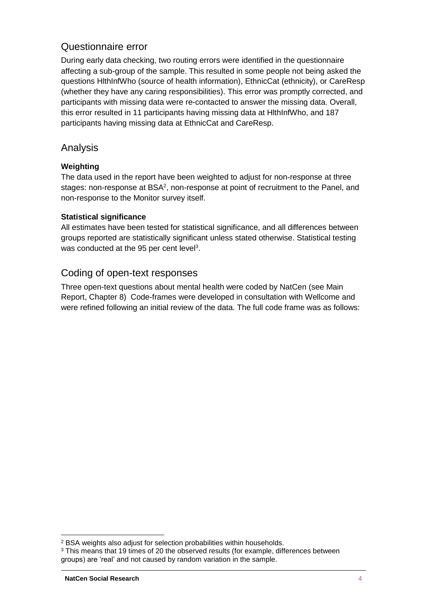# Questionnaire error

During early data checking, two routing errors were identified in the questionnaire affecting a sub-group of the sample. This resulted in some people not being asked the questions HlthInfWho (source of health information), EthnicCat (ethnicity), or CareResp (whether they have any caring responsibilities). This error was promptly corrected, and participants with missing data were re-contacted to answer the missing data. Overall, this error resulted in 11 participants having missing data at HlthInfWho, and 187 participants having missing data at EthnicCat and CareResp.

#### Analysis

#### **Weighting**

The data used in the report have been weighted to adjust for non-response at three stages: non-response at BSA<sup>2</sup>, non-response at point of recruitment to the Panel, and non-response to the Monitor survey itself.

#### **Statistical significance**

All estimates have been tested for statistical significance, and all differences between groups reported are statistically significant unless stated otherwise. Statistical testing was conducted at the 95 per cent level<sup>3</sup>.

## Coding of open-text responses

Three open-text questions about mental health were coded by NatCen (see [Main](file:///C:/Users/greenwoe/AppData/Local/Microsoft/Windows/INetCache/Content.Outlook/YXIGX6WZ/Wellcome%20Monitor_Dec18_V10_Fifth%20Draft_200919.docx)  [Report, Chapter](file:///C:/Users/greenwoe/AppData/Local/Microsoft/Windows/INetCache/Content.Outlook/YXIGX6WZ/Wellcome%20Monitor_Dec18_V10_Fifth%20Draft_200919.docx) 8) Code-frames were developed in consultation with Wellcome and were refined following an initial review of the data. The full code frame was as follows:

<sup>1</sup> <sup>2</sup> BSA weights also adjust for selection probabilities within households.

 $3$  This means that 19 times of 20 the observed results (for example, differences between groups) are 'real' and not caused by random variation in the sample.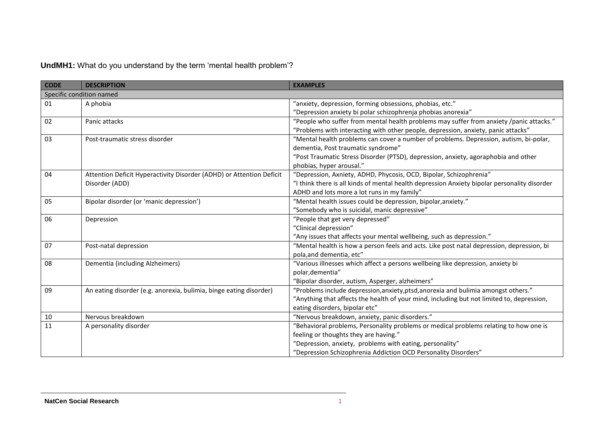**UndMH1:** What do you understand by the term 'mental health problem'?

| <b>CODE</b> | <b>DESCRIPTION</b>                                                   | <b>EXAMPLES</b>                                                                              |  |
|-------------|----------------------------------------------------------------------|----------------------------------------------------------------------------------------------|--|
|             | Specific condition named                                             |                                                                                              |  |
| 01          | A phobia                                                             | "anxiety, depression, forming obsessions, phobias, etc."                                     |  |
|             |                                                                      | "Depression anxiety bi polar schizophrenja phobias anorexia"                                 |  |
| 02          | Panic attacks                                                        | "People who suffer from mental health problems may suffer from anxiety /panic attacks."      |  |
|             |                                                                      | "Problems with interacting with other people, depression, anxiety, panic attacks"            |  |
| 03          | Post-traumatic stress disorder                                       | "Mental health problems can cover a number of problems. Depression, autism, bi-polar,        |  |
|             |                                                                      | dementia, Post traumatic syndrome"                                                           |  |
|             |                                                                      | "Post Traumatic Stress Disorder (PTSD), depression, anxiety, agoraphobia and other           |  |
|             |                                                                      | phobias, hyper arousal."                                                                     |  |
| 04          | Attention Deficit Hyperactivity Disorder (ADHD) or Attention Deficit | "Depression, Axniety, ADHD, Phycosis, OCD, Bipolar, Schizophrenia"                           |  |
|             | Disorder (ADD)                                                       | "I think there is all kinds of mental health depression Anxiety bipolar personality disorder |  |
|             |                                                                      | ADHD and lots more a lot runs in my family"                                                  |  |
| 05          | Bipolar disorder (or 'manic depression')                             | "Mental health issues could be depression, bipolar, anxiety."                                |  |
|             |                                                                      | "Somebody who is suicidal, manic depressive"                                                 |  |
| 06          | Depression                                                           | "People that get very depressed"                                                             |  |
|             |                                                                      | "Clinical depression"                                                                        |  |
|             |                                                                      | "Any issues that affects your mental wellbeing, such as depression."                         |  |
| 07          | Post-natal depression                                                | "Mental health is how a person feels and acts. Like post natal depression, depression, bi    |  |
|             |                                                                      | pola, and dementia, etc"                                                                     |  |
| 08          | Dementia (including Alzheimers)                                      | "Various illnesses which affect a persons wellbeing like depression, anxiety bi              |  |
|             |                                                                      | polar, dementia"                                                                             |  |
|             |                                                                      | "Bipolar disorder, autism, Asperger, alzheimers"                                             |  |
| 09          | An eating disorder (e.g. anorexia, bulimia, binge eating disorder)   | "Problems include depression, anxiety, ptsd, anorexia and bulimia amongst others."           |  |
|             |                                                                      | "Anything that affects the health of your mind, including but not limited to, depression,    |  |
|             |                                                                      | eating disorders, bipolar etc"                                                               |  |
| 10          | Nervous breakdown                                                    | "Nervous breakdown, anxiety, panic disorders."                                               |  |
| 11          | A personality disorder                                               | "Behavioral problems, Personality problems or medical problems relating to how one is        |  |
|             |                                                                      | feeling or thoughts they are having."                                                        |  |
|             |                                                                      | "Depression, anxiety, problems with eating, personality"                                     |  |
|             |                                                                      | "Depression Schizophrenia Addiction OCD Personality Disorders"                               |  |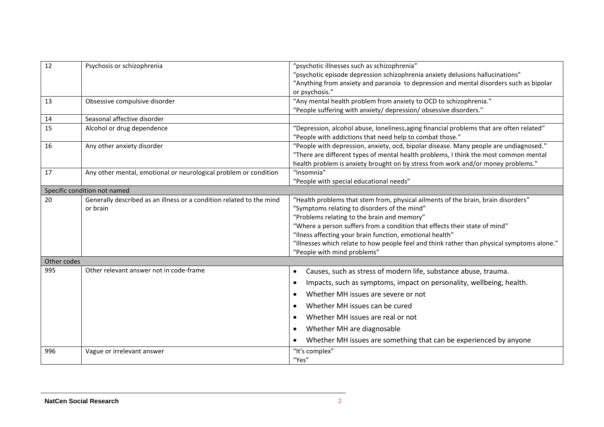| 12          | Psychosis or schizophrenia                                           | "psychotic illnesses such as schizophrenia"                                                |
|-------------|----------------------------------------------------------------------|--------------------------------------------------------------------------------------------|
|             |                                                                      | "psychotic episode depression schizophrenia anxiety delusions hallucinations"              |
|             |                                                                      | "Anything from anxiety and paranoia to depression and mental disorders such as bipolar     |
|             |                                                                      | or psychosis."                                                                             |
| 13          | Obsessive compulsive disorder                                        | "Any mental health problem from anxiety to OCD to schizophrenia."                          |
|             |                                                                      | "People suffering with anxiety/ depression/ obsessive disorders."                          |
| 14          | Seasonal affective disorder                                          |                                                                                            |
| 15          | Alcohol or drug dependence                                           | "Depression, alcohol abuse, loneliness, aging financial problems that are often related"   |
|             |                                                                      | "People with addictions that need help to combat those."                                   |
| 16          | Any other anxiety disorder                                           | "People with depression, anxiety, ocd, bipolar disease. Many people are undiagnosed."      |
|             |                                                                      | "There are different types of mental health problems, I think the most common mental       |
|             |                                                                      | health problem is anxiety brought on by stress from work and/or money problems."           |
| 17          | Any other mental, emotional or neurological problem or condition     | "Insomnia"                                                                                 |
|             |                                                                      | "People with special educational needs"                                                    |
|             | Specific condition not named                                         |                                                                                            |
| 20          | Generally described as an illness or a condition related to the mind | "Health problems that stem from, physical ailments of the brain, brain disorders"          |
|             | or brain                                                             | "Symptoms relating to disorders of the mind"                                               |
|             |                                                                      | "Problems relating to the brain and memory"                                                |
|             |                                                                      | "Where a person suffers from a condition that effects their state of mind"                 |
|             |                                                                      | "Ilness affecting your brain function, emotional health"                                   |
|             |                                                                      | "Illnesses which relate to how people feel and think rather than physical symptoms alone." |
|             |                                                                      | "People with mind problems"                                                                |
| Other codes |                                                                      |                                                                                            |
| 995         | Other relevant answer not in code-frame                              | Causes, such as stress of modern life, substance abuse, trauma.<br>$\bullet$               |
|             |                                                                      | Impacts, such as symptoms, impact on personality, wellbeing, health.<br>$\bullet$          |
|             |                                                                      | Whether MH issues are severe or not<br>$\bullet$                                           |
|             |                                                                      | Whether MH issues can be cured<br>$\bullet$                                                |
|             |                                                                      | Whether MH issues are real or not<br>$\bullet$                                             |
|             |                                                                      | Whether MH are diagnosable<br>$\bullet$                                                    |
|             |                                                                      | Whether MH issues are something that can be experienced by anyone                          |
| 996         | Vague or irrelevant answer                                           | "It's complex"                                                                             |
|             |                                                                      | "Yes"                                                                                      |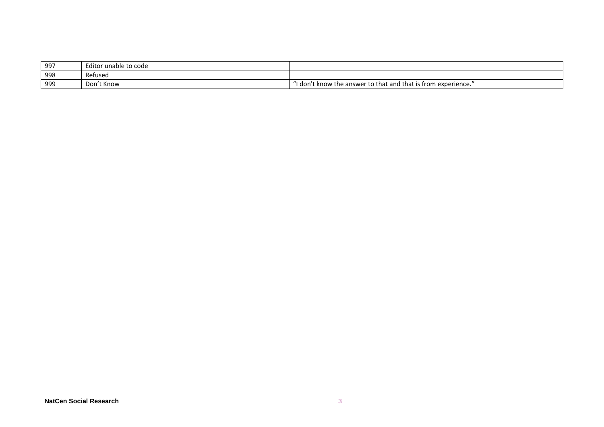| 997 | litor unable to code<br>Edito. |                                                                 |
|-----|--------------------------------|-----------------------------------------------------------------|
| 998 | Refusea                        |                                                                 |
| 999 | Don't Know                     | 't know the answer to that and that is from experience."<br>dor |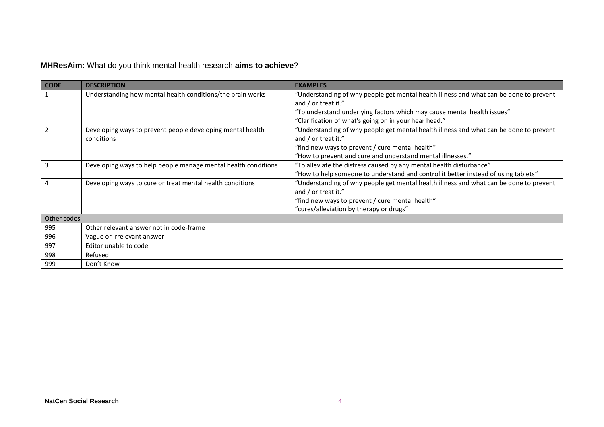**MHResAim:** What do you think mental health research **aims to achieve**?

| <b>CODE</b> | <b>DESCRIPTION</b>                                             | <b>EXAMPLES</b>                                                                        |
|-------------|----------------------------------------------------------------|----------------------------------------------------------------------------------------|
|             | Understanding how mental health conditions/the brain works     | "Understanding of why people get mental health illness and what can be done to prevent |
|             |                                                                | and / or treat it."                                                                    |
|             |                                                                | "To understand underlying factors which may cause mental health issues"                |
|             |                                                                | "Clarification of what's going on in your hear head."                                  |
|             | Developing ways to prevent people developing mental health     | "Understanding of why people get mental health illness and what can be done to prevent |
|             | conditions                                                     | and / or treat it."                                                                    |
|             |                                                                | "find new ways to prevent / cure mental health"                                        |
|             |                                                                | "How to prevent and cure and understand mental illnesses."                             |
| 3           | Developing ways to help people manage mental health conditions | "To alleviate the distress caused by any mental health disturbance"                    |
|             |                                                                | "How to help someone to understand and control it better instead of using tablets"     |
|             | Developing ways to cure or treat mental health conditions      | "Understanding of why people get mental health illness and what can be done to prevent |
|             |                                                                | and / or treat it."                                                                    |
|             |                                                                | "find new ways to prevent / cure mental health"                                        |
|             |                                                                | "cures/alleviation by therapy or drugs"                                                |
| Other codes |                                                                |                                                                                        |
| 995         | Other relevant answer not in code-frame                        |                                                                                        |
| 996         | Vague or irrelevant answer                                     |                                                                                        |
| 997         | Editor unable to code                                          |                                                                                        |
| 998         | Refused                                                        |                                                                                        |
| 999         | Don't Know                                                     |                                                                                        |